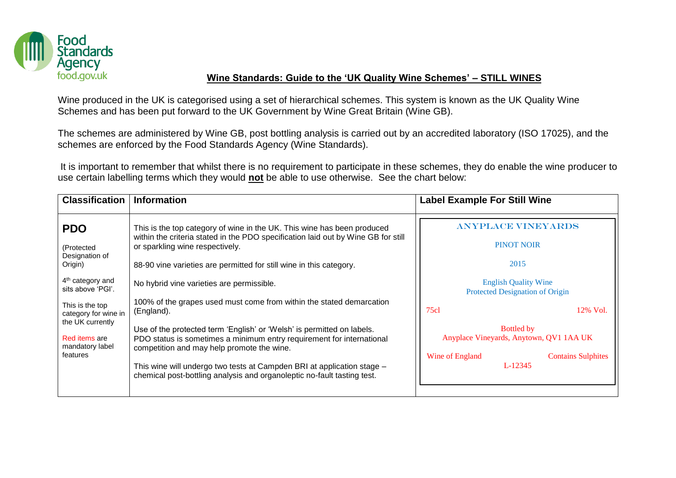

## **Wine Standards: Guide to the 'UK Quality Wine Schemes' – STILL WINES**

Wine produced in the UK is categorised using a set of hierarchical schemes. This system is known as the UK Quality Wine Schemes and has been put forward to the UK Government by Wine Great Britain (Wine GB).

The schemes are administered by Wine GB, post bottling analysis is carried out by an accredited laboratory (ISO 17025), and the schemes are enforced by the Food Standards Agency (Wine Standards).

It is important to remember that whilst there is no requirement to participate in these schemes, they do enable the wine producer to use certain labelling terms which they would **not** be able to use otherwise. See the chart below:

| <b>Classification</b>                                | <b>Information</b>                                                                                                                                                                            | <b>Label Example For Still Wine</b>                            |  |  |
|------------------------------------------------------|-----------------------------------------------------------------------------------------------------------------------------------------------------------------------------------------------|----------------------------------------------------------------|--|--|
| <b>PDO</b>                                           | This is the top category of wine in the UK. This wine has been produced<br>within the criteria stated in the PDO specification laid out by Wine GB for still                                  | <b>ANYPLACE VINEYARDS</b>                                      |  |  |
| (Protected<br>Designation of                         | or sparkling wine respectively.                                                                                                                                                               | <b>PINOT NOIR</b>                                              |  |  |
| Origin)                                              | 88-90 vine varieties are permitted for still wine in this category.                                                                                                                           | 2015                                                           |  |  |
| $4th$ category and<br>sits above 'PGI'.              | No hybrid vine varieties are permissible.                                                                                                                                                     | <b>English Quality Wine</b><br>Protected Designation of Origin |  |  |
| This is the top<br>category for wine in              | 100% of the grapes used must come from within the stated demarcation<br>(England).                                                                                                            | 75c1<br>12% Vol.                                               |  |  |
| the UK currently<br>Red items are<br>mandatory label | Use of the protected term 'English' or 'Welsh' is permitted on labels.<br>PDO status is sometimes a minimum entry requirement for international<br>competition and may help promote the wine. | <b>Bottled by</b><br>Anyplace Vineyards, Anytown, QV1 1AA UK   |  |  |
| features                                             | This wine will undergo two tests at Campden BRI at application stage -<br>chemical post-bottling analysis and organoleptic no-fault tasting test.                                             | Wine of England<br><b>Contains Sulphites</b><br>L-12345        |  |  |
|                                                      |                                                                                                                                                                                               |                                                                |  |  |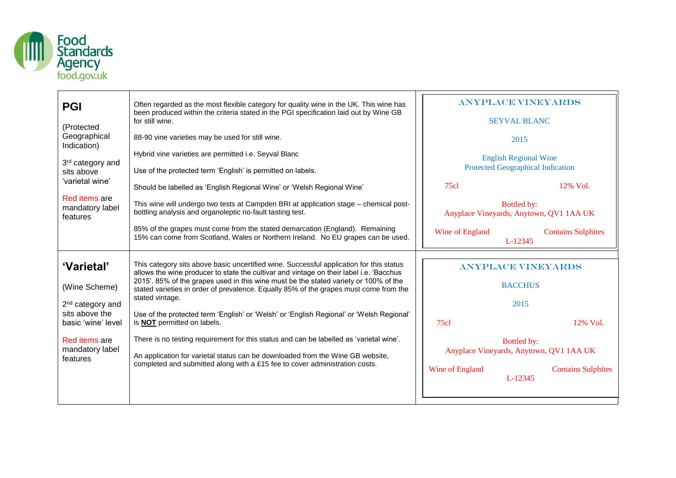

| <b>PGI</b><br>(Protected<br>Geographical                                                             | Often regarded as the most flexible category for quality wine in the UK. This wine has<br>been produced within the criteria stated in the PGI specification laid out by Wine GB<br>for still wine.<br>88-90 vine varieties may be used for still wine.                                                                                                                                                                                                                                                                    | <b>ANYPLACE VINEY ARDS</b><br><b>SEYVAL BLANC</b><br>2015<br><b>English Regional Wine</b><br><b>Protected Geographical Indication</b><br>75c1<br>$12\%$ Vol.<br>Bottled by: |                           |
|------------------------------------------------------------------------------------------------------|---------------------------------------------------------------------------------------------------------------------------------------------------------------------------------------------------------------------------------------------------------------------------------------------------------------------------------------------------------------------------------------------------------------------------------------------------------------------------------------------------------------------------|-----------------------------------------------------------------------------------------------------------------------------------------------------------------------------|---------------------------|
| Indication)<br>3rd category and<br>sits above<br>'varietal wine'<br>Red items are<br>mandatory label | Hybrid vine varieties are permitted i.e. Seyval Blanc<br>Use of the protected term 'English' is permitted on labels.<br>Should be labelled as 'English Regional Wine' or 'Welsh Regional Wine'<br>This wine will undergo two tests at Campden BRI at application stage - chemical post-<br>bottling analysis and organoleptic no-fault tasting test.                                                                                                                                                                      |                                                                                                                                                                             |                           |
| features                                                                                             | 85% of the grapes must come from the stated demarcation (England). Remaining<br>15% can come from Scotland, Wales or Northern Ireland. No EU grapes can be used.                                                                                                                                                                                                                                                                                                                                                          | Anyplace Vineyards, Anytown, QV1 1AA UK<br>Wine of England<br>L-12345                                                                                                       | <b>Contains Sulphites</b> |
| 'Varietal'<br>(Wine Scheme)<br>2 <sup>nd</sup> category and<br>sits above the<br>basic 'wine' level  | This category sits above basic uncertified wine. Successful application for this status<br>allows the wine producer to state the cultivar and vintage on their label i.e. 'Bacchus'<br>2015'. 85% of the grapes used in this wine must be the stated variety or 100% of the<br>stated varieties in order of prevalence. Equally 85% of the grapes must come from the<br>stated vintage.<br>Use of the protected term 'English' or 'Welsh' or 'English Regional' or 'Welsh Regional'<br>is <b>NOT</b> permitted on labels. | <b>ANYPLACE VINEYARDS</b><br><b>BACCHUS</b><br>2015<br>75c1                                                                                                                 | $12\%$ Vol.               |
| Red items are<br>mandatory label<br>features                                                         | There is no testing requirement for this status and can be labelled as 'varietal wine'.<br>An application for varietal status can be downloaded from the Wine GB website,<br>completed and submitted along with a £15 fee to cover administration costs.                                                                                                                                                                                                                                                                  | Bottled by:<br>Anyplace Vineyards, Anytown, QV1 1AA UK<br>Wine of England<br>$L-12345$                                                                                      | <b>Contains Sulphites</b> |